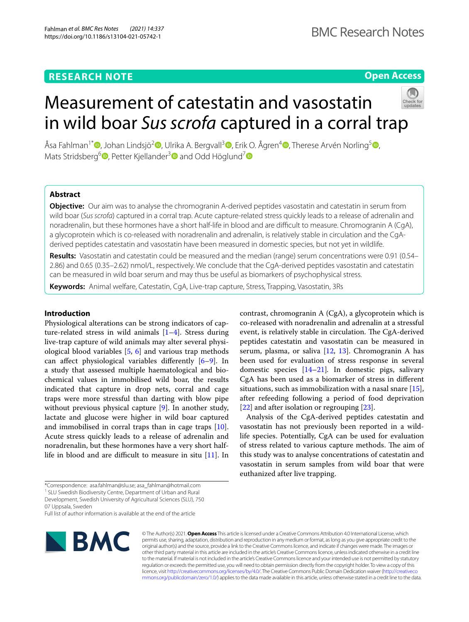## **RESEARCH NOTE**

## **Open Access**

# Measurement of catestatin and vasostatin in wild boar *Sus scrofa* captured in a corral trap



Åsa Fahlman<sup>1\*</sup> D[,](http://orcid.org/0000-0001-6854-3421) Johan Lindsjö<sup>2</sup> D, Ulrika A. Bergvall<sup>[3](http://orcid.org/0000-0002-8103-1591)</sup> D[,](http://orcid.org/0000-0003-0560-4332) Erik O. Ågren<sup>4</sup> D, Therese Arvén Norling<sup>5</sup> D, Mats Stridsberg<sup>[6](http://orcid.org/0000-0002-9198-4193)</sup> $\bullet$ , Petter Kjellander<sup>[3](http://orcid.org/0000-0002-4272-6737)</sup> $\bullet$  and Odd Höglund<sup>[7](http://orcid.org/0000-0003-0978-836X)</sup> $\bullet$ 

## **Abstract**

**Objective:** Our aim was to analyse the chromogranin A-derived peptides vasostatin and catestatin in serum from wild boar (*Sus scrofa*) captured in a corral trap. Acute capture-related stress quickly leads to a release of adrenalin and noradrenalin, but these hormones have a short half-life in blood and are difficult to measure. Chromogranin A (CgA), a glycoprotein which is co-released with noradrenalin and adrenalin, is relatively stable in circulation and the CgAderived peptides catestatin and vasostatin have been measured in domestic species, but not yet in wildlife.

**Results:** Vasostatin and catestatin could be measured and the median (range) serum concentrations were 0.91 (0.54– 2.86) and 0.65 (0.35–2.62) nmol/L, respectively. We conclude that the CgA-derived peptides vasostatin and catestatin can be measured in wild boar serum and may thus be useful as biomarkers of psychophysical stress.

**Keywords:** Animal welfare, Catestatin, CgA, Live-trap capture, Stress, Trapping, Vasostatin, 3Rs

## **Introduction**

Physiological alterations can be strong indicators of capture-related stress in wild animals [[1](#page-3-0)[–4](#page-3-1)]. Stress during live-trap capture of wild animals may alter several physiological blood variables [\[5](#page-3-2), [6\]](#page-3-3) and various trap methods can affect physiological variables differently  $[6-9]$  $[6-9]$  $[6-9]$ . In a study that assessed multiple haematological and biochemical values in immobilised wild boar, the results indicated that capture in drop nets, corral and cage traps were more stressful than darting with blow pipe without previous physical capture [\[9](#page-3-4)]. In another study, lactate and glucose were higher in wild boar captured and immobilised in corral traps than in cage traps [\[10](#page-3-5)]. Acute stress quickly leads to a release of adrenalin and noradrenalin, but these hormones have a very short halflife in blood and are difficult to measure in situ  $[11]$ . In

<sup>1</sup> SLU Swedish Biodiversity Centre, Department of Urban and Rural Development, Swedish University of Agricultural Sciences (SLU), 750

07 Uppsala, Sweden

Full list of author information is available at the end of the article



© The Author(s) 2021. **Open Access** This article is licensed under a Creative Commons Attribution 4.0 International License, which permits use, sharing, adaptation, distribution and reproduction in any medium or format, as long as you give appropriate credit to the original author(s) and the source, provide a link to the Creative Commons licence, and indicate if changes were made. The images or other third party material in this article are included in the article's Creative Commons licence, unless indicated otherwise in a credit line to the material. If material is not included in the article's Creative Commons licence and your intended use is not permitted by statutory regulation or exceeds the permitted use, you will need to obtain permission directly from the copyright holder. To view a copy of this licence, visit [http://creativecommons.org/licenses/by/4.0/.](http://creativecommons.org/licenses/by/4.0/) The Creative Commons Public Domain Dedication waiver ([http://creativeco](http://creativecommons.org/publicdomain/zero/1.0/) [mmons.org/publicdomain/zero/1.0/](http://creativecommons.org/publicdomain/zero/1.0/)) applies to the data made available in this article, unless otherwise stated in a credit line to the data.

contrast, chromogranin A (CgA), a glycoprotein which is co-released with noradrenalin and adrenalin at a stressful event, is relatively stable in circulation. The CgA-derived peptides catestatin and vasostatin can be measured in serum, plasma, or saliva [\[12,](#page-3-7) [13\]](#page-3-8). Chromogranin A has been used for evaluation of stress response in several domestic species [[14–](#page-3-9)[21](#page-3-10)]*.* In domestic pigs, salivary CgA has been used as a biomarker of stress in diferent situations, such as immobilization with a nasal snare  $[15]$  $[15]$ , after refeeding following a period of food deprivation [[22\]](#page-3-12) and after isolation or regrouping [\[23](#page-3-13)].

Analysis of the CgA-derived peptides catestatin and vasostatin has not previously been reported in a wildlife species. Potentially, CgA can be used for evaluation of stress related to various capture methods. The aim of this study was to analyse concentrations of catestatin and vasostatin in serum samples from wild boar that were euthanized after live trapping.

<sup>\*</sup>Correspondence: asa.fahlman@slu.se; asa\_fahlman@hotmail.com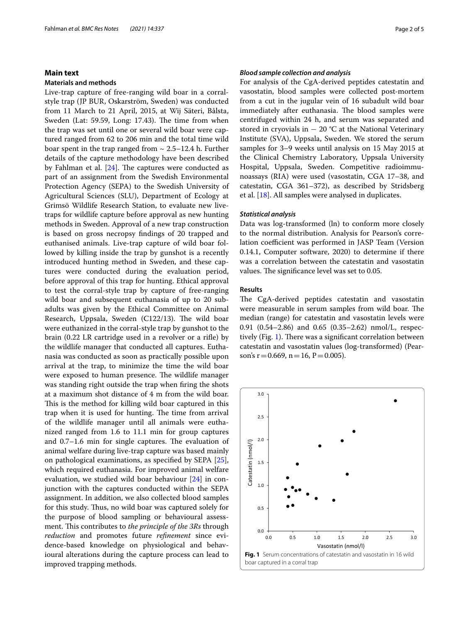### **Main text**

#### **Materials and methods**

Live-trap capture of free-ranging wild boar in a corralstyle trap (JP BUR, Oskarström, Sweden) was conducted from 11 March to 21 April, 2015, at Wij Säteri, Bålsta, Sweden (Lat: 59.59, Long: 17.43). The time from when the trap was set until one or several wild boar were captured ranged from 62 to 206 min and the total time wild boar spent in the trap ranged from  $\sim 2.5-12.4$  h. Further details of the capture methodology have been described by Fahlman et al.  $[24]$  $[24]$ . The captures were conducted as part of an assignment from the Swedish Environmental Protection Agency (SEPA) to the Swedish University of Agricultural Sciences (SLU), Department of Ecology at Grimsö Wildlife Research Station, to evaluate new livetraps for wildlife capture before approval as new hunting methods in Sweden. Approval of a new trap construction is based on gross necropsy fndings of 20 trapped and euthanised animals. Live-trap capture of wild boar followed by killing inside the trap by gunshot is a recently introduced hunting method in Sweden, and these captures were conducted during the evaluation period, before approval of this trap for hunting. Ethical approval to test the corral-style trap by capture of free-ranging wild boar and subsequent euthanasia of up to 20 subadults was given by the Ethical Committee on Animal Research, Uppsala, Sweden (C122/13). The wild boar were euthanized in the corral-style trap by gunshot to the brain (0.22 LR cartridge used in a revolver or a rife) by the wildlife manager that conducted all captures. Euthanasia was conducted as soon as practically possible upon arrival at the trap, to minimize the time the wild boar were exposed to human presence. The wildlife manager was standing right outside the trap when fring the shots at a maximum shot distance of 4 m from the wild boar. This is the method for killing wild boar captured in this trap when it is used for hunting. The time from arrival of the wildlife manager until all animals were euthanized ranged from 1.6 to 11.1 min for group captures and  $0.7-1.6$  min for single captures. The evaluation of animal welfare during live-trap capture was based mainly on pathological examinations, as specifed by SEPA [\[25](#page-3-15)], which required euthanasia. For improved animal welfare evaluation, we studied wild boar behaviour [[24\]](#page-3-14) in conjunction with the captures conducted within the SEPA assignment. In addition, we also collected blood samples for this study. Thus, no wild boar was captured solely for the purpose of blood sampling or behavioural assessment. This contributes to *the principle of the 3Rs* through *reduction* and promotes future *refnement* since evidence-based knowledge on physiological and behavioural alterations during the capture process can lead to improved trapping methods.

#### *Blood sample collection and analysis*

For analysis of the CgA-derived peptides catestatin and vasostatin, blood samples were collected post-mortem from a cut in the jugular vein of 16 subadult wild boar immediately after euthanasia. The blood samples were centrifuged within 24 h, and serum was separated and stored in cryovials in  $-20$  °C at the National Veterinary Institute (SVA), Uppsala, Sweden. We stored the serum samples for 3–9 weeks until analysis on 15 May 2015 at the Clinical Chemistry Laboratory, Uppsala University Hospital, Uppsala, Sweden. Competitive radioimmunoassays (RIA) were used (vasostatin, CGA 17–38, and catestatin, CGA 361–372), as described by Stridsberg et al. [[18](#page-3-16)]. All samples were analysed in duplicates.

#### *Statistical analysis*

Data was log-transformed (ln) to conform more closely to the normal distribution. Analysis for Pearson's correlation coefficient was performed in JASP Team (Version 0.14.1, Computer software, 2020) to determine if there was a correlation between the catestatin and vasostatin values. The significance level was set to 0.05.

#### **Results**

The CgA-derived peptides catestatin and vasostatin were measurable in serum samples from wild boar. The median (range) for catestatin and vasostatin levels were 0.91 (0.54–2.86) and 0.65 (0.35–2.62) nmol/L, respec-tively (Fig. [1](#page-1-0)). There was a significant correlation between catestatin and vasostatin values (log-transformed) (Pearson's  $r = 0.669$ ,  $n = 16$ ,  $P = 0.005$ ).

<span id="page-1-0"></span>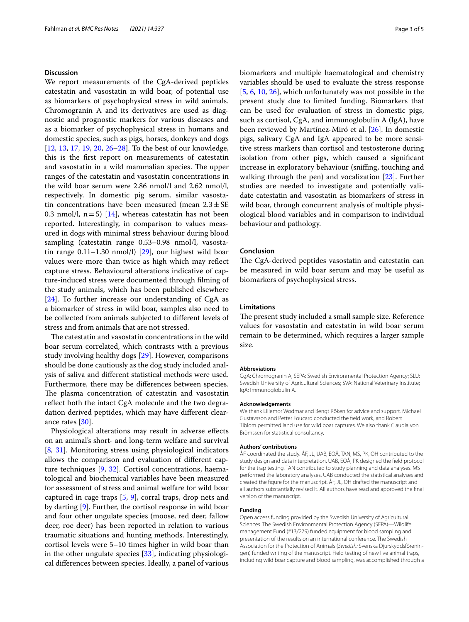#### **Discussion**

We report measurements of the CgA-derived peptides catestatin and vasostatin in wild boar, of potential use as biomarkers of psychophysical stress in wild animals. Chromogranin A and its derivatives are used as diagnostic and prognostic markers for various diseases and as a biomarker of psychophysical stress in humans and domestic species, such as pigs, horses, donkeys and dogs [[12,](#page-3-7) [13,](#page-3-8) [17](#page-3-17), [19](#page-3-18), [20,](#page-3-19) [26–](#page-3-20)[28\]](#page-3-21). To the best of our knowledge, this is the frst report on measurements of catestatin and vasostatin in a wild mammalian species. The upper ranges of the catestatin and vasostatin concentrations in the wild boar serum were 2.86 nmol/l and 2.62 nmol/l, respectively. In domestic pig serum, similar vasostatin concentrations have been measured (mean  $2.3 \pm SE$ 0.3 nmol/l,  $n=5$ ) [[14](#page-3-9)], whereas catestatin has not been reported. Interestingly, in comparison to values measured in dogs with minimal stress behaviour during blood sampling (catestatin range 0.53–0.98 nmol/l, vasostatin range  $0.11-1.30$  nmol/l) [[29\]](#page-3-22), our highest wild boar values were more than twice as high which may refect capture stress. Behavioural alterations indicative of capture-induced stress were documented through flming of the study animals, which has been published elsewhere [[24\]](#page-3-14). To further increase our understanding of CgA as a biomarker of stress in wild boar, samples also need to be collected from animals subjected to diferent levels of stress and from animals that are not stressed.

The catestatin and vasostatin concentrations in the wild boar serum correlated, which contrasts with a previous study involving healthy dogs [\[29](#page-3-22)]. However, comparisons should be done cautiously as the dog study included analysis of saliva and diferent statistical methods were used. Furthermore, there may be diferences between species. The plasma concentration of catestatin and vasostatin refect both the intact CgA molecule and the two degradation derived peptides, which may have diferent clearance rates [[30\]](#page-3-23).

Physiological alterations may result in adverse efects on an animal's short- and long-term welfare and survival [[8,](#page-3-24) [31\]](#page-4-0). Monitoring stress using physiological indicators allows the comparison and evaluation of diferent capture techniques [[9,](#page-3-4) [32](#page-4-1)]. Cortisol concentrations, haematological and biochemical variables have been measured for assessment of stress and animal welfare for wild boar captured in cage traps [\[5](#page-3-2), [9\]](#page-3-4), corral traps, drop nets and by darting [[9](#page-3-4)]. Further, the cortisol response in wild boar and four other ungulate species (moose, red deer, fallow deer, roe deer) has been reported in relation to various traumatic situations and hunting methods. Interestingly, cortisol levels were 5–10 times higher in wild boar than in the other ungulate species [[33\]](#page-4-2), indicating physiological diferences between species. Ideally, a panel of various biomarkers and multiple haematological and chemistry variables should be used to evaluate the stress response [[5,](#page-3-2) [6,](#page-3-3) [10](#page-3-5), [26\]](#page-3-20), which unfortunately was not possible in the present study due to limited funding. Biomarkers that can be used for evaluation of stress in domestic pigs, such as cortisol, CgA, and immunoglobulin A (IgA), have been reviewed by Martínez-Miró et al. [\[26](#page-3-20)]. In domestic pigs, salivary CgA and IgA appeared to be more sensitive stress markers than cortisol and testosterone during isolation from other pigs, which caused a signifcant increase in exploratory behaviour (sniffing, touching and walking through the pen) and vocalization [\[23\]](#page-3-13). Further studies are needed to investigate and potentially validate catestatin and vasostatin as biomarkers of stress in wild boar, through concurrent analysis of multiple physiological blood variables and in comparison to individual behaviour and pathology.

#### **Conclusion**

The CgA-derived peptides vasostatin and catestatin can be measured in wild boar serum and may be useful as biomarkers of psychophysical stress.

#### **Limitations**

The present study included a small sample size. Reference values for vasostatin and catestatin in wild boar serum remain to be determined, which requires a larger sample size.

#### **Abbreviations**

CgA: Chromogranin A; SEPA: Swedish Environmental Protection Agency; SLU: Swedish University of Agricultural Sciences; SVA: National Veterinary Institute; IgA: Immunoglobulin A.

#### **Acknowledgements**

We thank Lillemor Wodmar and Bengt Röken for advice and support. Michael Gustavsson and Petter Foucard conducted the feld work, and Robert Tiblom permitted land use for wild boar captures. We also thank Claudia von Brömssen for statistical consultancy.

#### **Authors' contributions**

ÅF coordinated the study. ÅF, JL, UAB, EOÅ, TAN, MS, PK, OH contributed to the study design and data interpretation. UAB, EOÅ, PK designed the feld protocol for the trap testing. TAN contributed to study planning and data analyses. MS performed the laboratory analyses. UAB conducted the statistical analyses and created the fgure for the manuscript. ÅF, JL, OH drafted the manuscript and all authors substantially revised it. All authors have read and approved the fnal version of the manuscript.

#### **Funding**

Open access funding provided by the Swedish University of Agricultural Sciences. The Swedish Environmental Protection Agency (SEPA)—Wildlife management Fund (#13/279) funded equipment for blood sampling and presentation of the results on an international conference. The Swedish Association for the Protection of Animals (*Swedish:* Svenska Djurskyddsföreningen) funded writing of the manuscript. Field testing of new live animal traps, including wild boar capture and blood sampling, was accomplished through a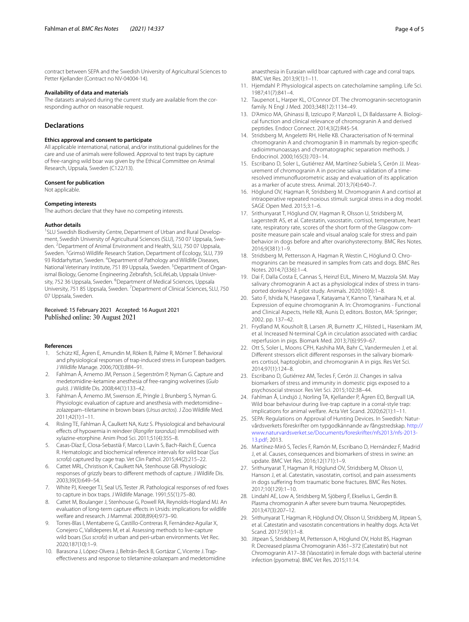contract between SEPA and the Swedish University of Agricultural Sciences to Petter Kjellander (Contract no NV-04004-14).

#### **Availability of data and materials**

The datasets analysed during the current study are available from the corresponding author on reasonable request.

#### **Declarations**

#### **Ethics approval and consent to participate**

All applicable international, national, and/or institutional guidelines for the care and use of animals were followed. Approval to test traps by capture of free-ranging wild boar was given by the Ethical Committee on Animal Research, Uppsala, Sweden (C122/13).

#### **Consent for publication**

Not applicable.

#### **Competing interests**

The authors declare that they have no competing interests.

#### **Author details**

<sup>1</sup> SLU Swedish Biodiversity Centre, Department of Urban and Rural Development, Swedish University of Agricultural Sciences (SLU), 750 07 Uppsala, Sweden. <sup>2</sup> Department of Animal Environment and Health, SLU, 750 07 Uppsala, Sweden. <sup>3</sup> Grimsö Wildlife Research Station, Department of Ecology, SLU, 739 93 Riddarhyttan, Sweden. <sup>4</sup> Department of Pathology and Wildlife Diseases, National Veterinary Institute, 751 89 Uppsala, Sweden. <sup>5</sup> Department of Organismal Biology, Genome Engineering Zebrafsh, SciLifeLab, Uppsala University, 752 36 Uppsala, Sweden. <sup>6</sup> Department of Medical Sciences, Uppsala University, 751 85 Uppsala, Sweden. <sup>7</sup> Department of Clinical Sciences, SLU, 750 07 Uppsala, Sweden.

## Received: 15 February 2021 Accepted: 16 August 2021

#### **References**

- <span id="page-3-0"></span>1. Schütz KE, Ågren E, Amundin M, Röken B, Palme R, Mörner T. Behavioral and physiological responses of trap-induced stress in European badgers. J Wildlife Manage. 2006;70(3):884–91.
- 2. Fahlman Å, Arnemo JM, Persson J, Segerström P, Nyman G. Capture and medetomidine-ketamine anesthesia of free-ranging wolverines (*Gulo gulo*). J Wildlife Dis. 2008;44(1):133–42.
- 3. Fahlman Å, Arnemo JM, Swenson JE, Pringle J, Brunberg S, Nyman G. Physiologic evaluation of capture and anesthesia with medetomidine– zolazepam–tiletamine in brown bears (*Ursus arctos*). J Zoo Wildlife Med. 2011;42(1):1–11.
- <span id="page-3-1"></span>4. Risling TE, Fahlman Å, Caulkett NA, Kutz S. Physiological and behavioural efects of hypoxemia in reindeer (*Rangifer tarandus*) immobilised with xylazine-etorphine. Anim Prod Sci. 2011;51(4):355–8.
- <span id="page-3-2"></span>5. Casas-Díaz E, Closa-Sebastià F, Marco I, Lavín S, Bach-Raich E, Cuenca R. Hematologic and biochemical reference intervals for wild boar (*Sus scrofa*) captured by cage trap. Vet Clin Pathol. 2015;44(2):215–22.
- <span id="page-3-3"></span>6. Cattet MRL, Christison K, Caulkett NA, Stenhouse GB. Physiologic responses of grizzly bears to diferent methods of capture. J Wildlife Dis. 2003;39(3):649–54.
- 7. White PJ, Kreeger TJ, Seal US, Tester JR. Pathological responses of red foxes to capture in box traps. J Wildlife Manage. 1991;55(1):75–80.
- <span id="page-3-24"></span>8. Cattet M, Boulanger J, Stenhouse G, Powell RA, Reynolds-Hogland MJ. An evaluation of long-term capture efects in Ursids: implications for wildlife welfare and research. J Mammal. 2008;89(4):973–90.
- <span id="page-3-4"></span>9. Torres-Blas I, Mentaberre G, Castillo-Contreras R, Fernández-Aguilar X, Conejero C, Valldeperes M, et al. Assessing methods to live-capture wild boars (*Sus scrofa*) in urban and peri-urban environments. Vet Rec. 2020;187(10):1–9.
- <span id="page-3-5"></span>10. Barasona J, López-Olvera J, Beltrán-Beck B, Gortázar C, Vicente J. Trapefectiveness and response to tiletamine-zolazepam and medetomidine

anaesthesia in Eurasian wild boar captured with cage and corral traps. BMC Vet Res. 2013;9(1):1–11.

- <span id="page-3-6"></span>11. Hjemdahl P. Physiological aspects on catecholamine sampling. Life Sci. 1987;41(7):841–4.
- <span id="page-3-7"></span>12. Taupenot L, Harper KL, O'Connor DT. The chromogranin-secretogranin family. N Engl J Med. 2003;348(12):1134–49.
- <span id="page-3-8"></span>13. D'Amico MA, Ghinassi B, Izzicupo P, Manzoli L, Di Baldassarre A. Biological function and clinical relevance of chromogranin A and derived peptides. Endocr Connect. 2014;3(2):R45-54.
- <span id="page-3-9"></span>14. Stridsberg M, Angeletti RH, Helle KB. Characterisation of N-terminal chromogranin A and chromogranin B in mammals by region-specifc radioimmunoassays and chromatographic separation methods. J Endocrinol. 2000;165(3):703–14.
- <span id="page-3-11"></span>15. Escribano D, Soler L, Gutiérrez AM, Martínez-Subiela S, Cerón JJ. Measurement of chromogranin A in porcine saliva: validation of a timeresolved immunofuorometric assay and evaluation of its application as a marker of acute stress. Animal. 2013;7(4):640–7.
- 16. Höglund OV, Hagman R, Stridsberg M. Chromogranin A and cortisol at intraoperative repeated noxious stimuli: surgical stress in a dog model. SAGE Open Med. 2015;3:1–6.
- <span id="page-3-17"></span>17. Srithunyarat T, Höglund OV, Hagman R, Olsson U, Stridsberg M, Lagerstedt AS, et al. Catestatin, vasostatin, cortisol, temperature, heart rate, respiratory rate, scores of the short form of the Glasgow composite measure pain scale and visual analog scale for stress and pain behavior in dogs before and after ovariohysterectomy. BMC Res Notes. 2016;9(381):1–9.
- <span id="page-3-16"></span>18. Stridsberg M, Pettersson A, Hagman R, Westin C, Höglund O. Chromogranins can be measured in samples from cats and dogs. BMC Res Notes. 2014;7(336):1–4.
- <span id="page-3-18"></span>19. Dai F, Dalla Costa E, Cannas S, Heinzl EUL, Minero M, Mazzola SM. May salivary chromogranin A act as a physiological index of stress in transported donkeys? A pilot study. Animals. 2020;10(6):1–8.
- <span id="page-3-19"></span>20. Sato F, Ishida N, Hasegawa T, Katayama Y, Kanno T, Yanaihara N, et al. Expression of equine chromogranin A. In: Chromogranins - Functional and Clinical Aspects, Helle KB, Aunis D, editors. Boston, MA: Springer; 2002. pp. 137–42.
- <span id="page-3-10"></span>21. Frydland M, Kousholt B, Larsen JR, Burnettr JC, Hilsted L, Hasenkam JM, et al. Increased N-terminal CgA in circulation associated with cardiac reperfusion in pigs. Biomark Med. 2013;7(6):959–67.
- <span id="page-3-12"></span>22. Ott S, Soler L, Moons CPH, Kashiha MA, Bahr C, Vandermeulen J, et al. Diferent stressors elicit diferent responses in the salivary biomarkers cortisol, haptoglobin, and chromogranin A in pigs. Res Vet Sci. 2014;97(1):124–8.
- <span id="page-3-13"></span>23. Escribano D, Gutiérrez AM, Tecles F, Cerón JJ. Changes in saliva biomarkers of stress and immunity in domestic pigs exposed to a psychosocial stressor. Res Vet Sci. 2015;102:38–44.
- <span id="page-3-14"></span>24. Fahlman Å, Lindsjö J, Norling TA, Kjellander P, Ågren EO, Bergvall UA. Wild boar behaviour during live-trap capture in a corral-style trap: implications for animal welfare. Acta Vet Scand. 2020;62(1):1–11.
- <span id="page-3-15"></span>25. SEPA: Regulations on Approval of Hunting Devices. In Swedish: Naturvårdsverkets föreskrifter om typgodkännande av fångstredskap. [http://](http://www.naturvardsverket.se/Documents/foreskrifter/nfs2013/nfs-2013-13.pdf) [www.naturvardsverket.se/Documents/foreskrifter/nfs2013/nfs-2013-](http://www.naturvardsverket.se/Documents/foreskrifter/nfs2013/nfs-2013-13.pdf) [13.pdf](http://www.naturvardsverket.se/Documents/foreskrifter/nfs2013/nfs-2013-13.pdf); 2013.
- <span id="page-3-20"></span>26. Martínez-Miró S, Tecles F, Ramón M, Escribano D, Hernández F, Madrid J, et al. Causes, consequences and biomarkers of stress in swine: an update. BMC Vet Res. 2016;12(171):1–9.
- 27. Srithunyarat T, Hagman R, Höglund OV, Stridsberg M, Olsson U, Hanson J, et al. Catestatin, vasostatin, cortisol, and pain assessments in dogs sufering from traumatic bone fractures. BMC Res Notes. 2017;10(129):1–10.
- <span id="page-3-21"></span>28. Lindahl AE, Low A, Stridsberg M, Sjöberg F, Ekselius L, Gerdin B. Plasma chromogranin A after severe burn trauma. Neuropeptides. 2013;47(3):207–12.
- <span id="page-3-22"></span>29. Srithunyarat T, Hagman R, Höglund OV, Olsson U, Stridsberg M, Jitpean S, et al. Catestatin and vasostatin concentrations in healthy dogs. Acta Vet Scand. 2017;59(1):1–8.
- <span id="page-3-23"></span>30. Jitpean S, Stridsberg M, Pettersson A, Höglund OV, Holst BS, Hagman R. Decreased plasma Chromogranin A361–372 (Catestatin) but not Chromogranin A17–38 (Vasostatin) in female dogs with bacterial uterine infection (pyometra). BMC Vet Res. 2015;11:14.